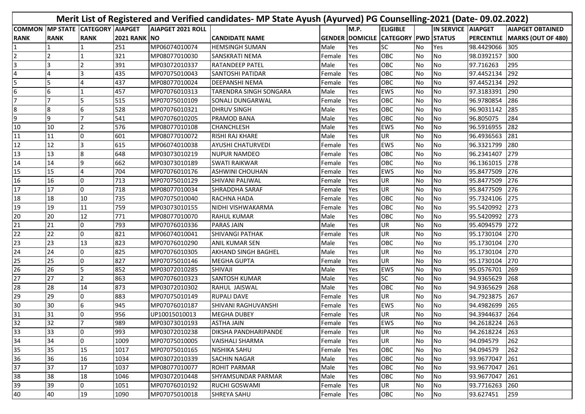|                 |                 |                           |                     |                          | Merit List of Registered and Verified candidates- MP State Ayush (Ayurved) PG Counselling-2021 (Date- 09.02.2022) |            |      |                                            |           |                           |                |                                 |
|-----------------|-----------------|---------------------------|---------------------|--------------------------|-------------------------------------------------------------------------------------------------------------------|------------|------|--------------------------------------------|-----------|---------------------------|----------------|---------------------------------|
| <b>COMMON</b>   |                 | MP STATE CATEGORY AIAPGET |                     | <b>AIAPGET 2021 ROLL</b> |                                                                                                                   |            | M.P. | <b>ELIGIBLE</b>                            |           | <b>IN SERVICE AIAPGET</b> |                | <b>AIAPGET OBTAINED</b>         |
| <b>RANK</b>     | <b>RANK</b>     | <b>RANK</b>               | <b>2021 RANK NO</b> |                          | <b>CANDIDATE NAME</b>                                                                                             |            |      | <b>GENDER DOMICILE CATEGORY PWD STATUS</b> |           |                           |                | PERCENTILE   MARKS (OUT OF 480) |
|                 |                 |                           | 251                 | MP06074010074            | <b>HEMSINGH SUMAN</b>                                                                                             | Male       | Yes  | SC                                         | No.       | Yes                       | 98.4429066 305 |                                 |
| 2               | $\mathcal{D}$   |                           | 321                 | MP08077010030            | SANSKRATI NEMA                                                                                                    | Female     | Yes  | <b>OBC</b>                                 | <b>No</b> | No                        | 98.0392157 300 |                                 |
| 3               | з               |                           | 391                 | MP03072010337            | RATANDEEP PATEL                                                                                                   | Male       | Yes  | OBC                                        | No        | No                        | 97.716263      | 295                             |
| $\overline{4}$  |                 | 3                         | 435                 | MP07075010043            | SANTOSHI PATIDAR                                                                                                  | Female     | Yes  | OBC                                        | No        | No                        | 97.4452134     | 292                             |
| 5               | 5               | 4                         | 437                 | MP08077010024            | DEEPANSHI NEMA                                                                                                    | Female     | Yes  | OBC                                        | <b>No</b> | No                        | 97.4452134 292 |                                 |
| $6\phantom{1}6$ | 6               |                           | 457                 | MP07076010313            | TARENDRA SINGH SONGARA                                                                                            | Male       | Yes  | <b>EWS</b>                                 | No        | No                        | 97.3183391     | 290                             |
| 17              | 7               | 5                         | 515                 | MP07075010109            | SONALI DUNGARWAL                                                                                                  | Female     | Yes  | OBC                                        | No        | No                        | 96.9780854 286 |                                 |
| 8               | 8               | 6                         | 528                 | MP07076010321            | <b>DHRUV SINGH</b>                                                                                                | Male       | Yes  | OBC                                        | No        | No                        | 96.9031142     | 285                             |
| 9               | 9               |                           | 541                 | MP07076010205            | PRAMOD BANA                                                                                                       | Male       | Yes  | OBC                                        | <b>No</b> | <b>INo</b>                | 96.805075      | 284                             |
| 10              | 10              |                           | 576                 | MP08077010108            | CHANCHLESH                                                                                                        | Male       | Yes  | EWS                                        | No        | No                        | 96.5916955 282 |                                 |
| 11              | 11              | 0                         | 601                 | MP08077010072            | RISHI RAJ KHARE                                                                                                   | Male       | Yes  | UR                                         | No        | No                        | 96.4936563     | 281                             |
| 12              | 12              | 3                         | 615                 | MP06074010038            | AYUSHI CHATURVEDI                                                                                                 | Female     | Yes  | <b>EWS</b>                                 | <b>No</b> | No                        | 96.3321799     | 280                             |
| 13              | 13              | 8                         | 648                 | MP03073010219            | <b>NUPUR NAMDEO</b>                                                                                               | Female     | Yes  | OBC                                        | <b>No</b> | No                        | 96.2341407     | 279                             |
| 14              | 14              | q                         | 662                 | MP03073010189            | <b>SWATI RAIKWAR</b>                                                                                              | Female     | Yes  | OBC                                        | <b>No</b> | No                        | 96.1361015     | 278                             |
| 15              | 15              | 4                         | 704                 | MP07076010176            | <b>ASHWINI CHOUHAN</b>                                                                                            | Female     | Yes  | <b>EWS</b>                                 | No        | No                        | 95.8477509     | <b>276</b>                      |
| 16              | 16              | 0                         | 713                 | MP07075010129            | SHIVANI PALIWAL                                                                                                   | Female     | Yes  | UR                                         | <b>No</b> | No                        | 95.8477509     | 276                             |
| 17              | 17              | O                         | 718                 | MP08077010034            | SHRADDHA SARAF                                                                                                    | Female     | Yes  | UR                                         | No        | No                        | 95.8477509     | 276                             |
| 18              | 18              | 10                        | 735                 | MP07075010040            | RACHNA HADA                                                                                                       | Female     | Yes  | OBC                                        | No        | No                        | 95.7324106     | 275                             |
| 19              | 19              | 11                        | 759                 | MP03073010155            | NIDHI VISHWAKARMA                                                                                                 | Female     | Yes  | OBC                                        | No        | No                        | 95.5420992 273 |                                 |
| 20              | 20              | 12                        | 771                 | MP08077010070            | <b>RAHUL KUMAR</b>                                                                                                | Male       | Yes  | OBC                                        | <b>No</b> | No                        | 95.5420992 273 |                                 |
| 21              | 21              | $\Omega$                  | 793                 | MP07076010336            | <b>PARAS JAIN</b>                                                                                                 | Male       | Yes  | UR                                         | <b>No</b> | No                        | 95.4094579     | 1272                            |
| 22              | 22              | <sup>o</sup>              | 821                 | MP06074010041            | SHIVANGI PATHAK                                                                                                   | Female     | Yes  | UR                                         | No        | No                        | 95.1730104 270 |                                 |
| 23              | 23              | 13                        | 823                 | MP07076010290            | ANIL KUMAR SEN                                                                                                    | Male       | Yes  | OBC                                        | No        | No                        | 95.1730104     | 270                             |
| 24              | $\overline{24}$ | $\Omega$                  | 825                 | MP07076010305            | <b>AKHAND SINGH BAGHEL</b>                                                                                        | Male       | Yes  | UR                                         | No        | No                        | 95.1730104     | 270                             |
| 25              | 25              | <sup>o</sup>              | 827                 | MP07075010146            | MEGHA GUPTA                                                                                                       | Female     | Yes  | UR                                         | No        | No                        | 95.1730104 270 |                                 |
| 26              | 26              | 5                         | 852                 | MP03072010285            | SHIVAJI                                                                                                           | Male       | Yes  | <b>EWS</b>                                 | No        | N <sub>o</sub>            | 95.0576701     | 269                             |
| 27              | 27              | $\mathcal{P}$             | 863                 | MP07076010323            | SANTOSH KUMAR                                                                                                     | Male       | Yes  | SC                                         | No        | <b>No</b>                 | 94.9365629     | 268                             |
| 28              | 28              | 14                        | 873                 | MP03072010302            | RAHUL JAISWAL                                                                                                     | Male       | Yes  | OBC                                        | <b>No</b> | No                        | 94.9365629     | 268                             |
| 29              | 29              | 0                         | 883                 | MP07075010149            | <b>RUPALI DAVE</b>                                                                                                | Female     | Yes  | UR                                         | No        | No                        | 94.7923875     | 267                             |
| 30              | 30              | 6                         | 945                 | MP07076010187            | SHIVANI RAGHUVANSHI                                                                                               | Female     | Yes  | <b>EWS</b>                                 | No        | <b>No</b>                 | 94.4982699     | 265                             |
| 31              | 31              | 0                         | 956                 | UP10015010013            | <b>MEGHA DUBEY</b>                                                                                                | Female     | Yes  | UR                                         | No        | No                        | 94.3944637 264 |                                 |
| 32              | 32              |                           | 989                 | MP03073010193            | <b>ASTHA JAIN</b>                                                                                                 | Female Yes |      | EWS                                        | INO.      | No                        | 94.2618224 263 |                                 |
| 33              | 33              | 0                         | 993                 | MP03072010238            | DIKSHA PANDHARIPANDE                                                                                              | Female     | Yes  | UR                                         | No        | No                        | 94.2618224 263 |                                 |
| 34              | 34              | 0                         | 1009                | MP07075010005            | <b>VAISHALI SHARMA</b>                                                                                            | Female     | Yes  | UR                                         | No        | No                        | 94.094579      | 262                             |
| 35              | 35              | 15                        | 1017                | MP07075010165            | <b>NISHIKA SAHU</b>                                                                                               | Female     | Yes  | OBC                                        | No        | No                        | 94.094579      | 262                             |
| 36              | 36              | 16                        | 1034                | MP03072010339            | SACHIN NAGAR                                                                                                      | Male       | Yes  | OBC                                        | No        | No                        | 93.9677047 261 |                                 |
| 37              | 37              | 17                        | 1037                | MP08077010077            | <b>ROHIT PARMAR</b>                                                                                               | Male       | Yes  | OBC                                        | No        | No                        | 93.9677047 261 |                                 |
| 38              | 38              | 18                        | 1046                | MP03072010448            | <b>SHYAMSUNDAR PARMAR</b>                                                                                         | Male       | Yes  | OBC                                        | No        | No                        | 93.9677047 261 |                                 |
| 39              | 39              | 0                         | 1051                | MP07076010192            | <b>RUCHI GOSWAMI</b>                                                                                              | Female     | Yes  | UR                                         | <b>No</b> | No                        | 93.7716263 260 |                                 |
| 40              | 40              | 19                        | 1090                | MP07075010018            | SHREYA SAHU                                                                                                       | Female     | Yes  | OBC                                        | No        | No                        | 93.627451      | 259                             |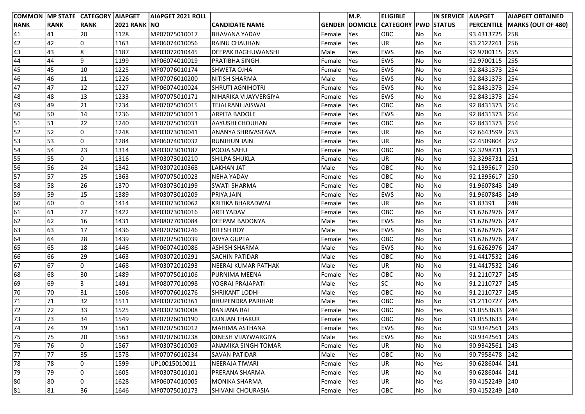|             |             | COMMON MP STATE CATEGORY AIAPGET |                     | <b>AIAPGET 2021 ROLL</b> |                          |        | M.P.                   | <b>ELIGIBLE</b>            |           | IN SERVICE AIAPGET |                | <b>AIAPGET OBTAINED</b>              |
|-------------|-------------|----------------------------------|---------------------|--------------------------|--------------------------|--------|------------------------|----------------------------|-----------|--------------------|----------------|--------------------------------------|
| <b>RANK</b> | <b>RANK</b> | <b>RANK</b>                      | <b>2021 RANK NO</b> |                          | CANDIDATE NAME           |        | <b>GENDER DOMICILE</b> | <b>CATEGORY PWD STATUS</b> |           |                    |                | <b>PERCENTILE MARKS (OUT OF 480)</b> |
| 41          | 41          | 20                               | 1128                | MP07075010017            | <b>BHAVANA YADAV</b>     | Female | Yes                    | OBC                        | No        | No                 | 93.4313725     | 258                                  |
| 42          | 42          | 0                                | 1163                | MP06074010056            | RAINU CHAUHAN            | Female | Yes                    | <b>UR</b>                  | No        | <b>No</b>          | 93.2122261     | 256                                  |
| 43          | 43          | 8                                | 1187                | MP03072010445            | DEEPAK RAGHUWANSHI       | Male   | Yes                    | <b>EWS</b>                 | No        | No                 | 92.9700115     | 255                                  |
| 44          | 44          | 9                                | 1199                | MP06074010019            | PRATIBHA SINGH           | Female | Yes                    | <b>EWS</b>                 | No        | No                 | 92.9700115     | 255                                  |
| 45          | 45          | 10                               | 1225                | MP07076010174            | <b>SHWETA OJHA</b>       | Female | Yes                    | <b>EWS</b>                 | No        | <b>No</b>          | 92.8431373     | 254                                  |
| 46          | 46          | 11                               | 1226                | MP07076010200            | NITISH SHARMA            | Male   | Yes                    | <b>EWS</b>                 | No        | No                 | 92.8431373     | 254                                  |
| 47          | 47          | 12                               | 1227                | MP06074010024            | <b>SHRUTI AGNIHOTRI</b>  | Female | Yes                    | <b>EWS</b>                 | No        | No                 | 92.8431373     | 254                                  |
| 48          | 48          | 13                               | 1233                | MP07075010171            | NIHARIKA VIJAYVERGIYA    | Female | Yes                    | <b>EWS</b>                 | No        | <b>No</b>          | 92.8431373     | 254                                  |
| 49          | 49          | 21                               | 1234                | MP07075010015            | TEJALRANI JAISWAL        | Female | Yes                    | OBC                        | No        | <b>No</b>          | 92.8431373     | 254                                  |
| 50          | 50          | 14                               | 1236                | MP07075010011            | <b>ARPITA BADOLE</b>     | Female | Yes                    | <b>EWS</b>                 | <b>No</b> | No                 | 92.8431373     | 254                                  |
| 51          | 51          | 22                               | 1240                | MP07075010033            | AAYUSHI CHOUHAN          | Female | Yes                    | OBC                        | No        | No                 | 92.8431373     | 254                                  |
| 52          | 52          | l0                               | 1248                | MP03073010041            | ANANYA SHRIVASTAVA       | Female | Yes                    | UR                         | <b>No</b> | <b>No</b>          | 92.6643599     | 253                                  |
| 53          | 53          | l0                               | 1284                | MP06074010032            | <b>RUNJHUN JAIN</b>      | Female | Yes                    | UR                         | No        | <b>No</b>          | 92.4509804     | 252                                  |
| 54          | 54          | 23                               | 1314                | MP03073010187            | POOJA SAHU               | Female | Yes                    | OBC                        | No        | No                 | 92.3298731     | 251                                  |
| 55          | 55          | 0                                | 1316                | MP03073010210            | SHILPA SHUKLA            | Female | Yes                    | UR.                        | No        | <b>No</b>          | 92.3298731     | 251                                  |
| 56          | 56          | 24                               | 1342                | MP03072010368            | <b>LAKHAN JAT</b>        | Male   | Yes                    | <b>OBC</b>                 | No        | <b>No</b>          | 92.1395617     | 250                                  |
| 57          | 57          | 25                               | 1363                | MP07075010023            | <b>NEHA YADAV</b>        | Female | Yes                    | OBC                        | No        | No                 | 92.1395617     | 250                                  |
| 58          | 58          | 26                               | 1370                | MP03073010199            | <b>SWATI SHARMA</b>      | Female | Yes                    | OBC                        | No        | No                 | 91.9607843     | 249                                  |
| 59          | 59          | 15                               | 1389                | MP03073010209            | PRIYA JAIN               | Female | Yes                    | <b>EWS</b>                 | No        | No                 | 91.9607843     | 249                                  |
| 60          | 60          | lo                               | 1414                | MP03073010062            | KRITIKA BHARADWAJ        | Female | Yes                    | <b>UR</b>                  | <b>No</b> | <b>No</b>          | 91.83391       | 248                                  |
| 61          | 61          | 27                               | 1422                | MP03073010016            | <b>ARTI YADAV</b>        | Female | Yes                    | OBC                        | No        | No                 | 91.6262976     | 247                                  |
| 62          | 62          | 16                               | 1431                | MP08077010084            | DEEPAM BADONYA           | Male   | Yes                    | <b>EWS</b>                 | No        | No                 | 91.6262976     | 247                                  |
| 63          | 63          | 17                               | 1436                | MP07076010246            | <b>RITESH ROY</b>        | Male   | Yes                    | <b>EWS</b>                 | No        | No                 | 91.6262976     | 247                                  |
| 64          | 64          | 28                               | 1439                | MP07075010039            | <b>DIVYA GUPTA</b>       | Female | Yes                    | OBC                        | No        | <b>No</b>          | 91.6262976     | 247                                  |
| 65          | 65          | 18                               | 1446                | MP06074010086            | <b>ASHISH SHARMA</b>     | Male   | Yes                    | <b>EWS</b>                 | No        | No                 | 91.6262976     | 247                                  |
| 66          | 66          | 29                               | 1463                | MP03072010291            | <b>SACHIN PATIDAR</b>    | Male   | Yes                    | OBC                        | No        | <b>No</b>          | 91.4417532     | 246                                  |
| 67          | 67          | l0                               | 1468                | MP03072010293            | NEERAJ KUMAR PATHAK      | Male   | Yes                    | <b>UR</b>                  | <b>No</b> | <b>No</b>          | 91.4417532     | 246                                  |
| 68          | 68          | 30                               | 1489                | MP07075010106            | PURNIMA MEENA            | Female | Yes                    | OBC                        | <b>No</b> | No                 | 91.2110727     | 245                                  |
| 69          | 69          | 3                                | 1491                | MP08077010098            | YOGRAJ PRAJAPATI         | Male   | Yes                    | <b>SC</b>                  | No        | No                 | 91.2110727     | 245                                  |
| 70          | 70          | 31                               | 1506                | MP07076010276            | SHRIKANT LODHI           | Male   | Yes                    | OBC                        | No        | No                 | 91.2110727     | 245                                  |
| 71          | 71          | 32                               | 1511                | MP03072010361            | <b>BHUPENDRA PARIHAR</b> | Male   | Yes                    | OBC                        | No        | <b>No</b>          | 91.2110727     | 245                                  |
| 72          | 72          | 33                               | 1525                | MP03073010008            | RANJANA RAI              | Female | Yes                    | OBC                        | No        | Yes                | 91.0553633     | 244                                  |
| 73          | 73          | 34                               | 1549                | MP07076010190            | <b>GUNJAN THAKUR</b>     | Female | Yes                    | <b>OBC</b>                 | No        | <b>No</b>          | 91.0553633 244 |                                      |
| 74          | 74          | 19                               | 1561                | MP07075010012            | MAHIMA ASTHANA           | Female | Yes                    | <b>EWS</b>                 | No        | No                 | 90.9342561 243 |                                      |
| 75          | 75          | 20                               | 1563                | MP07076010238            | DINESH VIJAYWARGIYA      | Male   | Yes                    | <b>EWS</b>                 | No        | No                 | 90.9342561     | 243                                  |
| 76          | 76          | 0                                | 1567                | MP03073010009            | ANAMIKA SINGH TOMAR      | Female | Yes                    | <b>UR</b>                  | No        | No                 | 90.9342561     | 243                                  |
| 77          | 77          | 35                               | 1578                | MP07076010234            | <b>SAVAN PATIDAR</b>     | Male   | Yes                    | OBC                        | No        | No                 | 90.7958478     | 242                                  |
| 78          | 78          | 0                                | 1599                | UP10015010011            | NEERAJA TIWARI           | Female | Yes                    | UR                         | No        | Yes                | 90.6286044     | 241                                  |
| 79          | 79          | 0                                | 1605                | MP03073010101            | PRERANA SHARMA           | Female | Yes                    | <b>UR</b>                  | <b>No</b> | No                 | 90.6286044     | 241                                  |
| 80          | 80          | 0                                | 1628                | MP06074010005            | <b>MONIKA SHARMA</b>     | Female | Yes                    | <b>UR</b>                  | No        | Yes                | 90.4152249     | 240                                  |
| 81          | 81          | 36                               | 1646                | MP07075010173            | SHIVANI CHOURASIA        | Female | Yes                    | OBC                        | No        | No                 | 90.4152249     | 240                                  |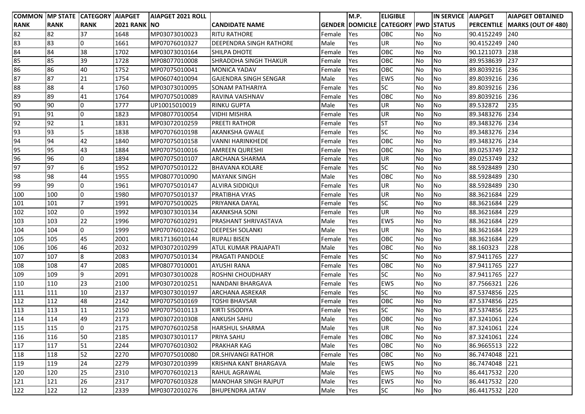|             |             | COMMON MP STATE CATEGORY AIAPGET |                     | <b>AIAPGET 2021 ROLL</b> |                                |        | M.P. | <b>ELIGIBLE</b>                            |           | IN SERVICE AIAPGET |                | <b>AIAPGET OBTAINED</b>       |
|-------------|-------------|----------------------------------|---------------------|--------------------------|--------------------------------|--------|------|--------------------------------------------|-----------|--------------------|----------------|-------------------------------|
| <b>RANK</b> | <b>RANK</b> | <b>RANK</b>                      | <b>2021 RANK NO</b> |                          | <b>CANDIDATE NAME</b>          |        |      | <b>GENDER DOMICILE CATEGORY PWD STATUS</b> |           |                    |                | PERCENTILE MARKS (OUT OF 480) |
| 82          | 82          | 37                               | 1648                | MP03073010023            | <b>RITU RATHORE</b>            | Female | Yes  | OBC                                        | No        | <b>No</b>          | 90.4152249     | 240                           |
| 83          | 83          | l0                               | 1661                | MP07076010327            | <b>DEEPENDRA SINGH RATHORE</b> | Male   | Yes  | UR                                         | No        | No                 | 90.4152249     | 240                           |
| 84          | 84          | 38                               | 1702                | MP03073010164            | <b>SHILPA DHOTE</b>            | Female | Yes  | OBC                                        | <b>No</b> | <b>No</b>          | 90.1211073     | 238                           |
| 85          | 85          | 39                               | 1728                | MP08077010008            | <b>SHRADDHA SINGH THAKUR</b>   | Female | Yes  | OBC                                        | <b>No</b> | No                 | 89.9538639     | 237                           |
| 86          | 86          | 40                               | 1752                | MP07075010041            | <b>MONICA YADAV</b>            | Female | Yes  | OBC                                        | No        | No                 | 89.8039216     | 236                           |
| 87          | 87          | 21                               | 1754                | MP06074010094            | <b>GAJENDRA SINGH SENGAR</b>   | Male   | Yes  | EWS                                        | <b>No</b> | No                 | 89.8039216 236 |                               |
| 88          | 88          | $\overline{a}$                   | 1760                | MP03073010095            | <b>SONAM PATHARIYA</b>         | Female | Yes  | <b>SC</b>                                  | <b>No</b> | <b>No</b>          | 89.8039216     | 236                           |
| 89          | 89          | 41                               | 1764                | MP07075010089            | RAVINA VAISHNAV                | Female | Yes  | OBC                                        | <b>No</b> | No                 | 89.8039216     | 236                           |
| 90          | 90          | 0                                | 1777                | UP10015010019            | <b>RINKU GUPTA</b>             | Male   | Yes  | UR                                         | No        | <b>No</b>          | 89.532872      | 235                           |
| 91          | 91          | l0                               | 1823                | MP08077010054            | <b>VIDHI MISHRA</b>            | Female | Yes  | <b>UR</b>                                  | No        | <b>No</b>          | 89.3483276     | 234                           |
| 92          | 92          | $\mathbf{1}$                     | 1831                | MP03072010259            | <b>PREETI RATHOR</b>           | Female | Yes  | <b>ST</b>                                  | No        | No                 | 89.3483276 234 |                               |
| 93          | 93          | 5                                | 1838                | MP07076010198            | <b>AKANKSHA GWALE</b>          | Female | Yes  | <b>SC</b>                                  | No        | No                 | 89.3483276     | 234                           |
| 94          | 94          | 42                               | 1840                | MP07075010158            | <b>VANNI HARINKHEDE</b>        | Female | Yes  | OBC                                        | No        | No                 | 89.3483276     | 234                           |
| 95          | 95          | 43                               | 1884                | MP07075010016            | <b>AMREEN QURESHI</b>          | Female | Yes  | OBC                                        | No        | No                 | 89.0253749     | 232                           |
| 96          | 96          | 0                                | 1894                | MP07075010107            | <b>ARCHANA SHARMA</b>          | Female | Yes  | UR                                         | No        | <b>No</b>          | 89.0253749     | 232                           |
| 97          | 97          | 6                                | 1952                | MP07075010122            | <b>BHAVANA KOLARE</b>          | Female | Yes  | <b>SC</b>                                  | <b>No</b> | <b>No</b>          | 88.5928489     | 230                           |
| 98          | 98          | 44                               | 1955                | MP08077010090            | <b>MAYANK SINGH</b>            | Male   | Yes  | OBC                                        | <b>No</b> | <b>No</b>          | 88.5928489     | 230                           |
| 99          | 99          | l0                               | 1961                | MP07075010147            | <b>ALVIRA SIDDIQUI</b>         | Female | Yes  | <b>UR</b>                                  | <b>No</b> | <b>No</b>          | 88.5928489     | 230                           |
| 100         | 100         | l0                               | 1980                | MP07075010137            | <b>PRATIBHA VYAS</b>           | Female | Yes  | <b>UR</b>                                  | <b>No</b> | No                 | 88.3621684     | 229                           |
| 101         | 101         | $\overline{7}$                   | 1991                | MP07075010025            | PRIYANKA DAYAL                 | Female | Yes  | <b>SC</b>                                  | No        | No                 | 88.3621684     | 229                           |
| 102         | 102         | $\overline{0}$                   | 1992                | MP03073010134            | <b>AKANKSHA SONI</b>           | Female | Yes  | UR                                         | <b>No</b> | No                 | 88.3621684     | 229                           |
| 103         | 103         | 22                               | 1996                | MP07076010291            | PRASHANT SHRIVASTAVA           | Male   | Yes  | <b>EWS</b>                                 | No        | <b>No</b>          | 88.3621684     | 229                           |
| 104         | 104         | 0                                | 1999                | MP07076010262            | DEEPESH SOLANKI                | Male   | Yes  | UR                                         | No        | <b>No</b>          | 88.3621684     | 229                           |
| 105         | 105         | 45                               | 2001                | MR17136010144            | <b>RUPALI BISEN</b>            | Female | Yes  | OBC                                        | No        | <b>No</b>          | 88.3621684     | 229                           |
| 106         | 106         | 46                               | 2032                | MP03072010299            | <b>ATUL KUMAR PRAJAPATI</b>    | Male   | Yes  | OBC                                        | No        | No                 | 88.160323      | 228                           |
| 107         | 107         | 8                                | 2083                | MP07075010134            | <b>PRAGATI PANDOLE</b>         | Female | Yes  | <b>SC</b>                                  | <b>No</b> | No                 | 87.9411765     | 227                           |
| 108         | 108         | 47                               | 2085                | MP08077010001            | <b>AYUSHI RANA</b>             | Female | Yes  | OBC                                        | No        | <b>No</b>          | 87.9411765     | 227                           |
| 109         | 109         | $\overline{9}$                   | 2091                | MP03073010028            | <b>ROSHNI CHOUDHARY</b>        | Female | Yes  | <b>SC</b>                                  | <b>No</b> | No                 | 87.9411765     | 227                           |
| 110         | 110         | 23                               | 2100                | MP03072010251            | NANDANI BHARGAVA               | Female | Yes  | EWS                                        | No        | No                 | 87.7566321     | 226                           |
| 111         | 111         | 10                               | 2137                | MP03073010197            | <b>ARCHANA ASREKAR</b>         | Female | Yes  | <b>SC</b>                                  | <b>No</b> | <b>No</b>          | 87.5374856     | 225                           |
| 112         | 112         | 48                               | 2142                | MP07075010169            | <b>TOSHI BHAVSAR</b>           | Female | Yes  | OBC                                        | <b>No</b> | <b>No</b>          | 87.5374856     | 225                           |
| 113         | 113         | 11                               | 2150                | MP07075010113            | KIRTI SISODIYA                 | Female | Yes  | <b>SC</b>                                  | No        | <b>No</b>          | 87.5374856     | 225                           |
| 114         | 114         | 49                               | 2173                | MP03072010308            | ANKUSH SAHU                    | Male   | Yes  | <b>OBC</b>                                 | No        | No.                | 87.3241061 224 |                               |
| 115         | 115         | 0                                | 2175                | MP07076010258            | <b>HARSHUL SHARMA</b>          | Male   | Yes  | <b>UR</b>                                  | No        | No                 | 87.3241061 224 |                               |
| 116         | 116         | 50                               | 2185                | MP03073010117            | PRIYA SAHU                     | Female | Yes  | OBC                                        | No        | <b>No</b>          | 87.3241061 224 |                               |
| 117         | 117         | 51                               | 2244                | MP07076010302            | <b>PRAKHAR KAG</b>             | Male   | Yes  | OBC                                        | No        | No                 | 86.9665513 222 |                               |
| 118         | 118         | 52                               | 2270                | MP07075010080            | <b>DR.SHIVANGI RATHOR</b>      | Female | Yes  | OBC                                        | No        | No                 | 86.7474048     | 221                           |
| 119         | 119         | 24                               | 2279                | MP03072010399            | KRISHNA KANT BHARGAVA          | Male   | Yes  | EWS                                        | No        | No                 | 86.7474048     | 221                           |
| 120         | 120         | 25                               | 2310                | MP07076010213            | <b>RAHUL AGRAWAL</b>           | Male   | Yes  | EWS                                        | No        | No                 | 86.4417532 220 |                               |
| 121         | 121         | 26                               | 2317                | MP07076010328            | <b>MANOHAR SINGH RAJPUT</b>    | Male   | Yes  | <b>EWS</b>                                 | No        | No                 | 86.4417532 220 |                               |
| 122         | 122         | 12                               | 2339                | MP03072010276            | <b>BHUPENDRA JATAV</b>         | Male   | Yes  | <b>SC</b>                                  | No        | No                 | 86.4417532 220 |                               |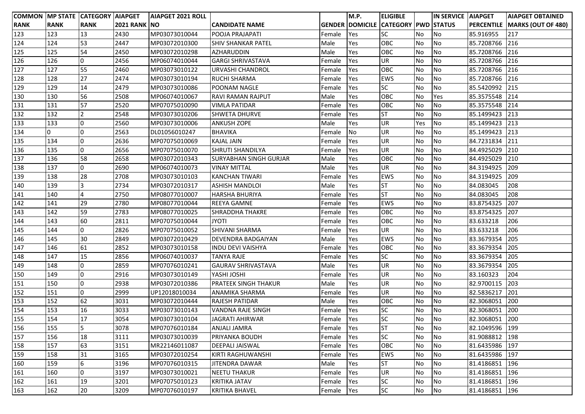|             |             | <b>COMMON MP STATE CATEGORY AIAPGET</b> |                      | <b>AIAPGET 2021 ROLL</b> |                               |        | M.P.      | <b>ELIGIBLE</b>                            |           | <b>IN SERVICE AIAPGET</b> |                | <b>AIAPGET OBTAINED</b>         |
|-------------|-------------|-----------------------------------------|----------------------|--------------------------|-------------------------------|--------|-----------|--------------------------------------------|-----------|---------------------------|----------------|---------------------------------|
| <b>RANK</b> | <b>RANK</b> | <b>RANK</b>                             | <b>2021 RANK INO</b> |                          | <b>CANDIDATE NAME</b>         |        |           | <b>GENDER DOMICILE CATEGORY PWD STATUS</b> |           |                           |                | PERCENTILE   MARKS (OUT OF 480) |
| 123         | 123         | 13                                      | 2430                 | MP03073010044            | POOJA PRAJAPATI               | Female | Yes       | <b>SC</b>                                  | No        | No                        | 85.916955      | 217                             |
| 124         | 124         | 53                                      | 2447                 | MP03072010300            | <b>SHIV SHANKAR PATEL</b>     | Male   | Yes       | OBC                                        | No        | No                        | 85.7208766 216 |                                 |
| 125         | 125         | 54                                      | 2450                 | MP03072010298            | <b>AZHARUDDIN</b>             | Male   | Yes       | OBC                                        | No        | No                        | 85.7208766 216 |                                 |
| 126         | 126         | 0                                       | 2456                 | MP06074010044            | <b>GARGI SHRIVASTAVA</b>      | Female | Yes       | <b>UR</b>                                  | No        | No                        | 85.7208766     | 216                             |
| 127         | 127         | 55                                      | 2460                 | MP03073010122            | URVASHI CHANDROL              | Female | Yes       | OBC                                        | <b>No</b> | No                        | 85.7208766     | 216                             |
| 128         | 128         | 27                                      | 2474                 | MP03073010194            | RUCHI SHARMA                  | Female | Yes       | EWS                                        | No        | No                        | 85.7208766     | 216                             |
| 129         | 129         | 14                                      | 2479                 | MP03073010086            | POONAM NAGLE                  | Female | Yes       | <b>SC</b>                                  | No        | No                        | 85.5420992     | 215                             |
| 130         | 130         | 56                                      | 2508                 | MP06074010067            | RAVI RAMAN RAJPUT             | Male   | Yes       | OBC                                        | No        | Yes                       | 85.3575548     | 214                             |
| 131         | 131         | 57                                      | 2520                 | MP07075010090            | <b>VIMLA PATIDAR</b>          | Female | Yes       | OBC                                        | No        | No                        | 85.3575548     | 214                             |
| 132         | 132         | 2                                       | 2548                 | MP03073010206            | <b>SHWETA DHURVE</b>          | Female | Yes       | <b>ST</b>                                  | No        | No                        | 85.1499423 213 |                                 |
| 133         | 133         | 0                                       | 2560                 | MP03073010006            | <b>ANKUSH ZOPE</b>            | Male   | Yes       | <b>UR</b>                                  | Yes       | No                        | 85.1499423     | 213                             |
| 134         | 0           | 0                                       | 2563                 | DL01056010247            | <b>BHAVIKA</b>                | Female | <b>No</b> | <b>UR</b>                                  | No        | No                        | 85.1499423     | 213                             |
| 135         | 134         | l0                                      | 2636                 | MP07075010069            | KAJAL JAIN                    | Female | Yes       | <b>UR</b>                                  | No        | No                        | 84.7231834     | 211                             |
| 136         | 135         | l0                                      | 2656                 | MP07075010070            | SHRUTI SHANDILYA              | Female | Yes       | UR                                         | No        | No                        | 84.4925029     | 210                             |
| 137         | 136         | 58                                      | 2658                 | MP03072010343            | <b>SURYABHAN SINGH GURJAR</b> | Male   | Yes       | OBC                                        | No        | No                        | 84.4925029     | 210                             |
| 138         | 137         | 0                                       | 2690                 | MP06074010073            | <b>VINAY MITTAL</b>           | Male   | Yes       | UR                                         | No        | No                        | 84.3194925     | 209                             |
| 139         | 138         | 28                                      | 2708                 | MP03073010103            | <b>KANCHAN TIWARI</b>         | Female | Yes       | <b>EWS</b>                                 | No        | No                        | 84.3194925     | 209                             |
| 140         | 139         | Iз                                      | 2734                 | MP03072010317            | <b>ASHISH MANDLOI</b>         | Male   | Yes       | <b>ST</b>                                  | No        | No                        | 84.083045      | 208                             |
| 141         | 140         | $\overline{4}$                          | 2750                 | MP08077010007            | HARSHA BHURIYA                | Female | Yes       | <b>ST</b>                                  | No        | No                        | 84.083045      | 208                             |
| 142         | 141         | 29                                      | 2780                 | MP08077010044            | REEYA GAMNE                   | Female | Yes       | <b>EWS</b>                                 | No        | No                        | 83.8754325     | 207                             |
| 143         | 142         | 59                                      | 2783                 | MP08077010025            | SHRADDHA THAKRE               | Female | Yes       | OBC                                        | No        | No                        | 83.8754325     | 207                             |
| 144         | 143         | 60                                      | 2811                 | MP07075010044            | <b>JYOTI</b>                  | Female | Yes       | OBC                                        | No        | No                        | 83.633218      | 206                             |
| 145         | 144         | l0                                      | 2826                 | MP07075010052            | SHIVANI SHARMA                | Female | Yes       | UR                                         | No        | No                        | 83.633218      | 206                             |
| 146         | 145         | 30                                      | 2849                 | MP03072010429            | DEVENDRA BADGAIYAN            | Male   | Yes       | <b>EWS</b>                                 | No        | No                        | 83.3679354     | 205                             |
| 147         | 146         | 61                                      | 2852                 | MP03073010158            | <b>INDU DEVI VAISHYA</b>      | Female | Yes       | <b>OBC</b>                                 | No        | No                        | 83.3679354     | 205                             |
| 148         | 147         | 15                                      | 2856                 | MP06074010037            | TANYA RAJE                    | Female | Yes       | <b>SC</b>                                  | No        | No                        | 83.3679354     | 205                             |
| 149         | 148         | 0                                       | 2859                 | MP07076010241            | <b>GAURAV SHRIVASTAVA</b>     | Male   | Yes       | <b>UR</b>                                  | No        | No                        | 83.3679354     | 205                             |
| 150         | 149         | O                                       | 2916                 | MP03073010149            | YASHI JOSHI                   | Female | Yes       | UR                                         | No        | No                        | 83.160323      | 204                             |
| 151         | 150         | l0                                      | 2938                 | MP03072010386            | PRATEEK SINGH THAKUR          | Male   | Yes       | <b>UR</b>                                  | No        | No                        | 82.9700115     | 203                             |
| 152         | 151         | 0                                       | 2999                 | UP12018010034            | ANAMIKA SHARMA                | Female | Yes       | <b>UR</b>                                  | No        | No                        | 82.5836217     | 201                             |
| 153         | 152         | 62                                      | 3031                 | MP03072010444            | RAJESH PATIDAR                | Male   | Yes       | OBC                                        | No        | No                        | 82.3068051     | 200                             |
| 154         | 153         | 16                                      | 3033                 | MP03073010143            | VANDNA RAJE SINGH             | Female | Yes       | <b>SC</b>                                  | No        | No                        | 82.3068051     | 200                             |
| 155         | 154         | 17                                      | 3054                 | MP03073010104            | <b>JAGRATI AHIRWAR</b>        | Female | Yes       | <b>SC</b>                                  | No        | No.                       | 82.3068051 200 |                                 |
| 156         | 155         | 5                                       | 3078                 | MP07076010184            | <b>ANJALI JAMRA</b>           | Female | Yes       | <b>ST</b>                                  | No        | <b>No</b>                 | 82.1049596 199 |                                 |
| 157         | 156         | 18                                      | 3111                 | MP03073010039            | PRIYANKA BOUDH                | Female | Yes       | <b>SC</b>                                  | No        | No                        | 81.9088812 198 |                                 |
| 158         | 157         | 63                                      | 3151                 | MR22146011087            | <b>DEEPALI JAISWAL</b>        | Female | Yes       | OBC                                        | No        | No                        | 81.6435986 197 |                                 |
| 159         | 158         | 31                                      | 3165                 | MP03072010254            | KIRTI RAGHUWANSHI             | Female | Yes       | <b>EWS</b>                                 | No        | No                        | 81.6435986 197 |                                 |
| 160         | 159         | 6                                       | 3196                 | MP07076010315            | JITENDRA DAWAR                | Male   | Yes       | <b>ST</b>                                  | No        | No                        | 81.4186851     | 196                             |
| 161         | 160         | 0                                       | 3197                 | MP03073010021            | <b>NEETU THAKUR</b>           | Female | Yes       | UR                                         | No        | No                        | 81.4186851     | 196                             |
| 162         | 161         | 19                                      | 3201                 | MP07075010123            | <b>KRITIKA JATAV</b>          | Female | Yes       | <b>SC</b>                                  | No        | No                        | 81.4186851     | 196                             |
| 163         | 162         | 20                                      | 3209                 | MP07076010197            | KRITIKA BHAVEL                | Female | Yes       | <b>SC</b>                                  | No        | <b>No</b>                 | 81.4186851     | 196                             |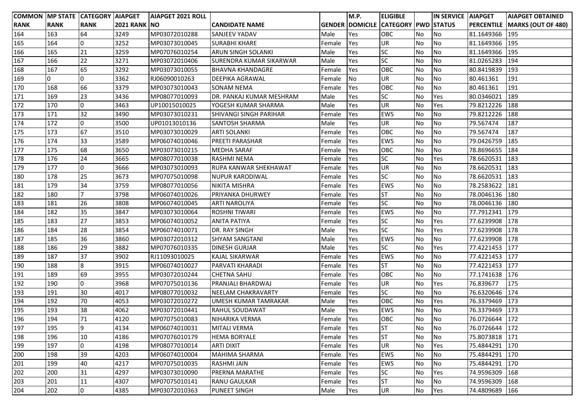| COMMON MP STATE CATEGORY AIAPGET |             |                |                     | <b>AIAPGET 2021 ROLL</b> |                                |        | M.P.       | <b>ELIGIBLE</b>                            |           | IN SERVICE AIAPGET |                | <b>AIAPGET OBTAINED</b>              |
|----------------------------------|-------------|----------------|---------------------|--------------------------|--------------------------------|--------|------------|--------------------------------------------|-----------|--------------------|----------------|--------------------------------------|
| <b>RANK</b>                      | <b>RANK</b> | <b>RANK</b>    | <b>2021 RANK NO</b> |                          | CANDIDATE NAME                 |        |            | <b>GENDER DOMICILE CATEGORY PWD STATUS</b> |           |                    |                | <b>PERCENTILE MARKS (OUT OF 480)</b> |
| 164                              | 163         | 64             | 3249                | MP03072010288            | SANJEEV YADAV                  | Male   | Yes        | OBC                                        | <b>No</b> | No                 | 81.1649366     | 195                                  |
| 165                              | 164         | 0              | 3252                | MP03073010045            | <b>SURABHI KHARE</b>           | Female | Yes        | UR                                         | No        | No                 | 81.1649366     | 195                                  |
| 166                              | 165         | 21             | 3259                | MP07076010254            | <b>ARUN SINGH SOLANKI</b>      | Male   | Yes        | SC                                         | No        | No                 | 81.1649366     | 195                                  |
| 167                              | 166         | 22             | 3271                | MP03072010406            | <b>SURENDRA KUMAR SIKARWAR</b> | Male   | Yes        | SC                                         | No        | No                 | 81.0265283     | 194                                  |
| 168                              | 167         | 65             | 3292                | MP03073010055            | <b>BHAVNA KHANDAGRE</b>        | Female | Yes        | OBC                                        | <b>No</b> | No                 | 80.8419839     | 193                                  |
| 169                              | 0           | $\overline{0}$ | 3362                | RJ06090010263            | <b>DEEPIKA AGRAWAL</b>         | Female | No         | UR                                         | No        | No                 | 80.461361      | 191                                  |
| 170                              | 168         | 66             | 3379                | MP03073010043            | <b>SONAM NEMA</b>              | Female | Yes        | OBC                                        | No        | No                 | 80.461361      | 191                                  |
| 171                              | 169         | 23             | 3436                | MP08077010093            | DR. PANKAJ KUMAR MESHRAM       | Male   | Yes        | SC                                         | No        | Yes                | 80.0346021     | 189                                  |
| 172                              | 170         | 0              | 3463                | UP10015010025            | YOGESH KUMAR SHARMA            | Male   | Yes        | UR                                         | No        | Yes                | 79.8212226     | 188                                  |
| 173                              | 171         | 32             | 3490                | MP03073010231            | <b>SHIVANGI SINGH PARIHAR</b>  | Female | Yes        | <b>EWS</b>                                 | No        | <b>No</b>          | 79.8212226     | 188                                  |
| 174                              | 172         | 0              | 3500                | UP01013010136            | <b>SANTOSH SHARMA</b>          | Male   | Yes        | UR                                         | No        | No                 | 79.567474      | 187                                  |
| 175                              | 173         | 67             | 3510                | MP03073010029            | <b>ARTI SOLANKI</b>            | Female | Yes        | OBC                                        | <b>No</b> | No                 | 79.567474      | 187                                  |
| 176                              | 174         | 33             | 3589                | MP06074010046            | PREETI PARASHAR                | Female | Yes        | EWS                                        | No        | <b>No</b>          | 79.0426759     | 185                                  |
| 177                              | 175         | 68             | 3650                | MP03073010215            | <b>MEDHA SARAF</b>             | Female | Yes        | OBC                                        | No        | No                 | 78.8696655     | 184                                  |
| 178                              | 176         | 24             | 3665                | MP08077010038            | <b>RASHMI NEMA</b>             | Female | Yes        | <b>SC</b>                                  | No        | Yes                | 78.6620531     | 183                                  |
| 179                              | 177         | 0              | 3666                | MP03073010093            | <b>RUPA KANWAR SHEKHAWAT</b>   | Female | Yes        | <b>UR</b>                                  | No        | No                 | 78.6620531     | 183                                  |
| 180                              | 178         | 25             | 3673                | MP07075010098            | <b>NUPUR KARODIWAL</b>         | Female | Yes        | SC                                         | No        | No                 | 78.6620531     | 183                                  |
| 181                              | 179         | 34             | 3759                | MP08077010056            | NIKITA MISHRA                  | Female | Yes        | <b>EWS</b>                                 | No        | No                 | 78.2583622     | 181                                  |
| 182                              | 180         | $\overline{7}$ | 3798                | MP06074010026            | <b>PRIYANKA DHURWEY</b>        | Female | Yes        | <b>ST</b>                                  | No        | No                 | 78.0046136     | 180                                  |
| 183                              | 181         | 26             | 3808                | MP06074010045            | <b>ARTI NAROLIYA</b>           | Female | Yes        | SC                                         | No        | No                 | 78.0046136     | 180                                  |
| 184                              | 182         | 35             | 3847                | MP03073010064            | <b>ROSHNI TIWARI</b>           | Female | Yes        | EWS                                        | No        | No                 | 77.7912341     | 179                                  |
| 185                              | 183         | 27             | 3853                | MP06074010052            | <b>ANITA PATIYA</b>            | Female | Yes        | SC                                         | No        | Yes                | 77.6239908 178 |                                      |
| 186                              | 184         | 28             | 3854                | MP06074010071            | DR. RAY SINGH                  | Male   | Yes        | SC                                         | No        | Yes                | 77.6239908     | 178                                  |
| 187                              | 185         | 36             | 3860                | MP03072010312            | <b>SHYAM SANGTANI</b>          | Male   | Yes        | <b>EWS</b>                                 | No        | No                 | 77.6239908     | 178                                  |
| 188                              | 186         | 29             | 3882                | MP07076010335            | <b>DINESH GURJAR</b>           | Male   | Yes        | SC                                         | No        | Yes                | 77.4221453 177 |                                      |
| 189                              | 187         | 37             | 3902                | RJ11093010025            | <b>KAJAL SIKARWAR</b>          | Female | Yes        | <b>EWS</b>                                 | No        | No                 | 77.4221453     | 177                                  |
| 190                              | 188         | $\overline{8}$ | 3915                | MP06074010027            | PARVATI KHARADI                | Female | Yes        | <b>ST</b>                                  | <b>No</b> | No                 | 77.4221453     | 177                                  |
| 191                              | 189         | 69             | 3955                | MP03072010244            | <b>CHETNA SAHU</b>             | Female | Yes        | OBC                                        | No        | No                 | 77.1741638     | 176                                  |
| 192                              | 190         | 0              | 3968                | MP07075010136            | <b>PRANJALI BHARDWAJ</b>       | Female | Yes        | UR                                         | No        | Yes                | 76.839677      | 175                                  |
| 193                              | 191         | 30             | 4017                | MP08077010032            | <b>NEELAM CHAKRAVARTY</b>      | Female | Yes        | SC                                         | No        | No                 | 76.6320646     | 174                                  |
| 194                              | 192         | 70             | 4053                | MP03072010272            | <b>UMESH KUMAR TAMRAKAR</b>    | Male   | Yes        | OBC                                        | No        | Yes                | 76.3379469     | 173                                  |
| 195                              | 193         | 38             | 4062                | MP03072010441            | <b>RAHUL SOUDAWAT</b>          | Male   | Yes        | <b>EWS</b>                                 | No        | No                 | 76.3379469     | 173                                  |
| 196                              | 194         | 71             | 4120                | MP07075010083            | NIHARIKA VERMA                 | Female | <b>Yes</b> | <b>OBC</b>                                 | No        | No                 | 76.0726644 172 |                                      |
| 197                              | 195         | 9              | 4134                | MP06074010031            | <b>MITALI VERMA</b>            | Female | Yes        | <b>ST</b>                                  | No        | No                 | 76.0726644 172 |                                      |
| 198                              | 196         | 10             | 4186                | MP07076010179            | <b>HEMA BORYALE</b>            | Female | Yes        | <b>ST</b>                                  | No        | <b>No</b>          | 75.8073818 171 |                                      |
| 199                              | 197         | 0              | 4198                | MP08077010014            | <b>ARTI DIXIT</b>              | Female | Yes        | UR                                         | No        | Yes                | 75.4844291 170 |                                      |
| 200                              | 198         | 39             | 4203                | MP06074010004            | <b>MAHIMA SHARMA</b>           | Female | Yes        | <b>EWS</b>                                 | No        | No                 | 75.4844291 170 |                                      |
| 201                              | 199         | 40             | 4217                | MP07075010035            | <b>RASHMI JAIN</b>             | Female | Yes        | EWS                                        | No        | No                 | 75.4844291     | 170                                  |
| 202                              | 200         | 31             | 4297                | MP03073010090            | PRERNA MARATHE                 | Female | Yes        | SC                                         | No        | Yes                | 74.9596309     | 168                                  |
| 203                              | 201         | 11             | 4307                | MP07075010141            | <b>RANU GAULKAR</b>            | Female | Yes        | <b>ST</b>                                  | No        | No                 | 74.9596309     | 168                                  |
| 204                              | 202         | O              | 4385                | MP03072010363            | <b>PUNEET SINGH</b>            | Male   | Yes        | UR                                         | <b>No</b> | Yes                | 74.4809689     | 166                                  |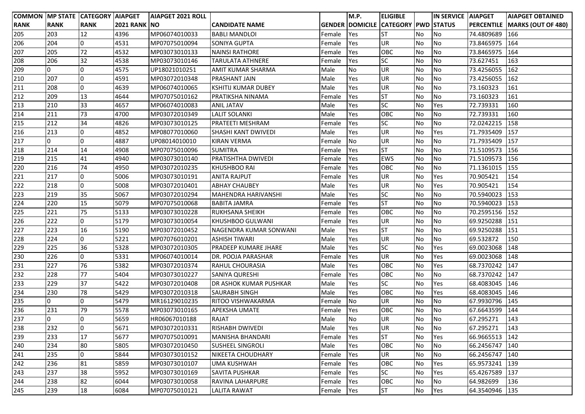|             |             | COMMON MP STATE CATEGORY AIAPGET |                      | <b>AIAPGET 2021 ROLL</b> |                         |        | M.P.      | <b>ELIGIBLE</b>                            |    | <b>IN SERVICE AIAPGET</b> |                | <b>AIAPGET OBTAINED</b>                |
|-------------|-------------|----------------------------------|----------------------|--------------------------|-------------------------|--------|-----------|--------------------------------------------|----|---------------------------|----------------|----------------------------------------|
| <b>RANK</b> | <b>RANK</b> | <b>RANK</b>                      | <b>2021 RANK INO</b> |                          | CANDIDATE NAME          |        |           | <b>GENDER DOMICILE CATEGORY PWD STATUS</b> |    |                           |                | <b>PERCENTILE   MARKS (OUT OF 480)</b> |
| 205         | 203         | 12                               | 4396                 | MP06074010033            | <b>BABLI MANDLOI</b>    | Female | Yes       | <b>ST</b>                                  | No | No                        | 74.4809689     | 166                                    |
| 206         | 204         | 0                                | 4531                 | MP07075010094            | <b>SONIYA GUPTA</b>     | Female | Yes       | <b>UR</b>                                  | No | No                        | 73.8465975     | 164                                    |
| 207         | 205         | 72                               | 4532                 | MP03073010133            | <b>NAINSI RATHORE</b>   | Female | Yes       | OBC                                        | No | No                        | 73.8465975     | 164                                    |
| 208         | 206         | 32                               | 4538                 | MP03073010146            | <b>TARULATA ATHNERE</b> | Female | Yes       | <b>SC</b>                                  | No | No                        | 73.627451      | 163                                    |
| 209         | 0           | 0                                | 4575                 | UP18021010251            | AMIT KUMAR SHARMA       | Male   | No        | <b>UR</b>                                  | No | No                        | 73.4256055     | 162                                    |
| 210         | 207         | 0                                | 4591                 | MP03072010348            | PRASHANT JAIN           | Male   | Yes       | UR                                         | No | No                        | 73.4256055     | 162                                    |
| 211         | 208         | 0                                | 4639                 | MP06074010065            | KSHITIJ KUMAR DUBEY     | Male   | Yes       | <b>UR</b>                                  | No | No                        | 73.160323      | 161                                    |
| 212         | 209         | 13                               | 4644                 | MP07075010162            | PRATIKSHA NINAMA        | Female | Yes       | <b>ST</b>                                  | No | No                        | 73.160323      | 161                                    |
| 213         | 210         | 33                               | 4657                 | MP06074010083            | <b>ANIL JATAV</b>       | Male   | Yes       | <b>SC</b>                                  | No | Yes                       | 72.739331      | 160                                    |
| 214         | 211         | 73                               | 4700                 | MP03072010349            | <b>LALIT SOLANKI</b>    | Male   | Yes       | OBC                                        | No | No                        | 72.739331      | 160                                    |
| 215         | 212         | 34                               | 4826                 | MP03073010125            | PRATEETI MESHRAM        | Female | Yes       | <b>SC</b>                                  | No | No                        | 72.0242215     | 158                                    |
| 216         | 213         | 0                                | 4852                 | MP08077010060            | SHASHI KANT DWIVEDI     | Male   | Yes       | <b>UR</b>                                  | No | Yes                       | 71.7935409     | 157                                    |
| 217         | 0           | 0                                | 4887                 | UP08014010010            | <b>KIRAN VERMA</b>      | Female | No        | <b>UR</b>                                  | No | <b>No</b>                 | 71.7935409     | 157                                    |
| 218         | 214         | 14                               | 4908                 | MP07075010096            | <b>SUMITRA</b>          | Female | Yes       | <b>ST</b>                                  | No | No                        | 71.5109573     | 156                                    |
| 219         | 215         | 41                               | 4940                 | MP03073010140            | PRATISHTHA DWIVEDI      | Female | Yes       | <b>EWS</b>                                 | No | No                        | 71.5109573     | 156                                    |
| 220         | 216         | 74                               | 4950                 | MP03072010235            | KHUSHBOO RAI            | Female | Yes       | OBC                                        | No | No                        | 71.1361015     | 155                                    |
| 221         | 217         | 0                                | 5006                 | MP03073010191            | <b>ANITA RAJPUT</b>     | Female | Yes       | UR                                         | No | Yes                       | 70.905421      | 154                                    |
| 222         | 218         | l0                               | 5008                 | MP03072010401            | <b>ABHAY CHAUBEY</b>    | Male   | Yes       | <b>UR</b>                                  | No | Yes                       | 70.905421      | 154                                    |
| 223         | 219         | 35                               | 5067                 | MP03072010294            | MAHENDRA HARIVANSHI     | Male   | Yes       | <b>SC</b>                                  | No | No                        | 70.5940023     | 153                                    |
| 224         | 220         | 15                               | 5079                 | MP07075010068            | <b>BABITA JAMRA</b>     | Female | Yes       | <b>ST</b>                                  | No | No                        | 70.5940023     | 153                                    |
| 225         | 221         | 75                               | 5133                 | MP03073010228            | RUKHSANA SHEIKH         | Female | Yes       | OBC                                        | No | No                        | 70.2595156     | 152                                    |
| 226         | 222         | l0                               | 5179                 | MP03073010054            | KHUSHBOO GULWANI        | Female | Yes       | <b>UR</b>                                  | No | No                        | 69.9250288     | 151                                    |
| 227         | 223         | 16                               | 5190                 | MP03072010452            | NAGENDRA KUMAR SONWANI  | Male   | Yes       | <b>ST</b>                                  | No | No                        | 69.9250288     | 151                                    |
| 228         | 224         | l0                               | 5221                 | MP07076010201            | <b>ASHISH TIWARI</b>    | Male   | Yes       | <b>UR</b>                                  | No | No                        | 69.532872      | 150                                    |
| 229         | 225         | 36                               | 5328                 | MP03072010305            | PRADEEP KUMARE JHARE    | Male   | Yes       | <b>SC</b>                                  | No | Yes                       | 69.0023068     | 148                                    |
| 230         | 226         | l0                               | 5331                 | MP06074010014            | DR. POOJA PARASHAR      | Female | Yes       | <b>UR</b>                                  | No | Yes                       | 69.0023068     | 148                                    |
| 231         | 227         | 76                               | 5382                 | MP03072010374            | RAHUL CHOURASIA         | Male   | Yes       | OBC                                        | No | Yes                       | 68.7370242     | 147                                    |
| 232         | 228         | 77                               | 5404                 | MP03073010227            | SANIYA QURESHI          | Female | Yes       | OBC                                        | No | No                        | 68.7370242     | 147                                    |
| 233         | 229         | 37                               | 5422                 | MP03072010408            | DR ASHOK KUMAR PUSHKAR  | Male   | Yes       | <b>SC</b>                                  | No | Yes                       | 68.4083045     | 146                                    |
| 234         | 230         | 78                               | 5429                 | MP03072010318            | SAURABH SINGH           | Male   | Yes       | OBC                                        | No | Yes                       | 68.4083045     | 146                                    |
| 235         | 0           | 0                                | 5479                 | MR16129010235            | RITOO VISHWAKARMA       | Female | <b>No</b> | UR                                         | No | No                        | 67.9930796     | 145                                    |
| 236         | 231         | 79                               | 5578                 | MP03073010165            | APEKSHA UMATE           | Female | Yes       | OBC                                        | No | No                        | 67.6643599     | 144                                    |
| 237         | 0           | 0                                | 5659                 | HR06067010188            | RAJAT                   | Male   | <b>No</b> | <b>UR</b>                                  | No | No.                       | 67.295271      | 143                                    |
| 238         | 232         | 0                                | 5671                 | MP03072010331            | <b>RISHABH DWIVEDI</b>  | Male   | Yes       | <b>UR</b>                                  | No | No                        | 67.295271      | 143                                    |
| 239         | 233         | 17                               | 5677                 | MP07075010091            | MANISHA BHANDARI        | Female | Yes       | <b>ST</b>                                  | No | Yes                       | 66.9665513 142 |                                        |
| 240         | 234         | 80                               | 5805                 | MP03072010450            | <b>SUSHEEL SINGROLI</b> | Male   | Yes       | OBC                                        | No | No                        | 66.2456747 140 |                                        |
| 241         | 235         | 0                                | 5844                 | MP03073010152            | NIKEETA CHOUDHARY       | Female | Yes       | UR                                         | No | No                        | 66.2456747     | 140                                    |
| 242         | 236         | 81                               | 5859                 | MP03073010107            | <b>UMA KUSHWAH</b>      | Female | Yes       | OBC                                        | No | Yes                       | 65.9573241     | 139                                    |
| 243         | 237         | 38                               | 5952                 | MP03073010169            | SAVITA PUSHKAR          | Female | Yes       | <b>SC</b>                                  | No | Yes                       | 65.4267589     | 137                                    |
| 244         | 238         | 82                               | 6044                 | MP03073010058            | RAVINA LAHARPURE        | Female | Yes       | OBC                                        | No | No                        | 64.982699      | 136                                    |
| 245         | 239         | 18                               | 6084                 | MP07075010121            | <b>LALITA RAWAT</b>     | Female | Yes       | <b>ST</b>                                  | No | Yes                       | 64.3540946     | 135                                    |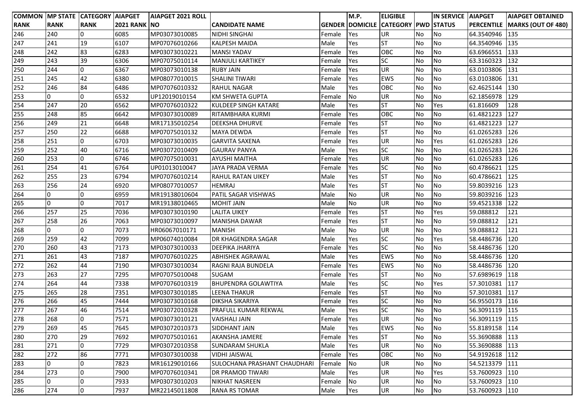| COMMON MP STATE CATEGORY AIAPGET |             |                 |                     | <b>AIAPGET 2021 ROLL</b> |                              |        | M.P.      | <b>ELIGIBLE</b>                            |           | IN SERVICE   AIAPGET |            | <b>AIAPGET OBTAINED</b>       |
|----------------------------------|-------------|-----------------|---------------------|--------------------------|------------------------------|--------|-----------|--------------------------------------------|-----------|----------------------|------------|-------------------------------|
| <b>RANK</b>                      | <b>RANK</b> | <b>RANK</b>     | <b>2021 RANK NO</b> |                          | <b>CANDIDATE NAME</b>        |        |           | <b>GENDER DOMICILE CATEGORY PWD STATUS</b> |           |                      |            | PERCENTILE MARKS (OUT OF 480) |
| 246                              | 240         | 0               | 6085                | MP03073010085            | <b>NIDHI SINGHAI</b>         | Female | Yes       | <b>UR</b>                                  | <b>No</b> | No                   | 64.3540946 | 135                           |
| 247                              | 241         | 19              | 6107                | MP07076010266            | <b>KALPESH MAIDA</b>         | Male   | Yes       | <b>ST</b>                                  | No        | No                   | 64.3540946 | 135                           |
| 248                              | 242         | 83              | 6283                | MP03073010221            | <b>MANSI YADAV</b>           | Female | Yes       | OBC                                        | <b>No</b> | No                   | 63.6966551 | 133                           |
| 249                              | 243         | 39              | 6306                | MP07075010114            | <b>MANJULI KARTIKEY</b>      | Female | Yes       | <b>SC</b>                                  | <b>No</b> | No                   | 63.3160323 | 132                           |
| 250                              | 244         | l0              | 6367                | MP03073010138            | <b>RUBY JAIN</b>             | Female | Yes       | <b>UR</b>                                  | No        | No                   | 63.0103806 | 131                           |
| 251                              | 245         | 42              | 6380                | MP08077010015            | <b>SHALINI TIWARI</b>        | Female | Yes       | <b>EWS</b>                                 | No        | No                   | 63.0103806 | 131                           |
| 252                              | 246         | 84              | 6486                | MP07076010332            | <b>RAHUL NAGAR</b>           | Male   | Yes       | OBC                                        | <b>No</b> | No                   | 62.4625144 | 130                           |
| 253                              | 0           | 0               | 6532                | UP12019010154            | KM SHWETA GUPTA              | Female | No        | UR                                         | <b>No</b> | No                   | 62.1856978 | 129                           |
| 254                              | 247         | 20              | 6562                | MP07076010322            | KULDEEP SINGH KATARE         | Male   | Yes       | <b>ST</b>                                  | <b>No</b> | Yes                  | 61.816609  | 128                           |
| 255                              | 248         | 85              | 6642                | MP03073010089            | RITAMBHARA KURMI             | Female | Yes       | OBC                                        | No        | No                   | 61.4821223 | 127                           |
| 256                              | 249         | 21              | 6648                | MR17135010254            | <b>DEEKSHA DHURVE</b>        | Female | Yes       | <b>ST</b>                                  | <b>No</b> | No                   | 61.4821223 | 127                           |
| 257                              | 250         | 22              | 6688                | MP07075010132            | MAYA DEWDA                   | Female | Yes       | <b>ST</b>                                  | No        | No                   | 61.0265283 | 126                           |
| 258                              | 251         | l0              | 6703                | MP03073010035            | <b>GARVITA SAXENA</b>        | Female | Yes       | <b>UR</b>                                  | No        | Yes                  | 61.0265283 | 126                           |
| 259                              | 252         | 40              | 6716                | MP03072010409            | <b>GAURAV PANYA</b>          | Male   | Yes       | <b>SC</b>                                  | No        | No                   | 61.0265283 | 126                           |
| 260                              | 253         | 0               | 6746                | MP07075010031            | <b>AYUSHI MAITHA</b>         | Female | Yes       | <b>UR</b>                                  | <b>No</b> | No                   | 61.0265283 | 126                           |
| 261                              | 254         | 41              | 6764                | UP01013010047            | JAYA PRADA VERMA             | Female | Yes       | <b>SC</b>                                  | No        | No                   | 60.4786621 | 125                           |
| 262                              | 255         | 23              | 6794                | MP07076010214            | <b>RAHUL RATAN UIKEY</b>     | Male   | Yes       | <b>ST</b>                                  | <b>No</b> | No                   | 60.4786621 | 125                           |
| 263                              | 256         | 24              | 6920                | MP08077010057            | <b>HEMRAJ</b>                | Male   | Yes       | <b>ST</b>                                  | <b>No</b> | No                   | 59.8039216 | 123                           |
| 264                              | 0           | l0              | 6959                | MR19138010604            | <b>PATIL SAGAR VISHWAS</b>   | Male   | <b>No</b> | UR                                         | <b>No</b> | No                   | 59.8039216 | 123                           |
| 265                              | l0          | l0              | 7017                | MR19138010465            | <b>MOHIT JAIN</b>            | Male   | <b>No</b> | <b>UR</b>                                  | <b>No</b> | No                   | 59.4521338 | 122                           |
| 266                              | 257         | 25              | 7036                | MP03073010190            | LALITA UIKEY                 | Female | Yes       | <b>ST</b>                                  | No        | Yes                  | 59.088812  | 121                           |
| 267                              | 258         | 26              | 7063                | MP03073010097            | <b>MANISHA DAWAR</b>         | Female | Yes       | <b>ST</b>                                  | <b>No</b> | No                   | 59.088812  | 121                           |
| 268                              | 0           | l0              | 7073                | HR06067010171            | MANISH                       | Male   | No        | UR                                         | <b>No</b> | No                   | 59.088812  | 121                           |
| 269                              | 259         | 42              | 7099                | MP06074010084            | DR KHAGENDRA SAGAR           | Male   | Yes       | <b>SC</b>                                  | <b>No</b> | Yes                  | 58.4486736 | 120                           |
| 270                              | 260         | 43              | 7173                | MP03073010033            | <b>DEEPIKA JHARIYA</b>       | Female | Yes       | <b>SC</b>                                  | <b>No</b> | No                   | 58.4486736 | 120                           |
| 271                              | 261         | 43              | 7187                | MP07076010225            | <b>ABHISHEK AGRAWAL</b>      | Male   | Yes       | <b>EWS</b>                                 | No        | No                   | 58.4486736 | 120                           |
| 272                              | 262         | 44              | 7190                | MP03073010034            | RAGNI RAJA BUNDELA           | Female | Yes       | <b>EWS</b>                                 | No        | No                   | 58.4486736 | 120                           |
| 273                              | 263         | $\overline{27}$ | 7295                | MP07075010048            | <b>SUGAM</b>                 | Female | Yes       | <b>ST</b>                                  | No        | No                   | 57.6989619 | 118                           |
| 274                              | 264         | 44              | 7338                | MP07076010319            | <b>BHUPENDRA GOLAWTIYA</b>   | Male   | Yes       | <b>SC</b>                                  | No        | Yes                  | 57.3010381 | 117                           |
| 275                              | 265         | 28              | 7351                | MP03073010185            | <b>LEENA THAKUR</b>          | Female | Yes       | <b>ST</b>                                  | No        | No                   | 57.3010381 | 117                           |
| 276                              | 266         | 45              | 7444                | MP03073010168            | DIKSHA SIKARIYA              | Female | Yes       | <b>SC</b>                                  | No        | No                   | 56.9550173 | 116                           |
| 277                              | 267         | 46              | 7514                | MP03072010328            | PRAFULL KUMAR REKWAL         | Male   | Yes       | <b>SC</b>                                  | No        | No                   | 56.3091119 | 115                           |
| 278                              | 268         | l0              | 7571                | MP03073010121            | VAISHALI JAIN                | Female | Yes       | <b>UR</b>                                  | No        | No.                  | 56.3091119 | 115                           |
| 279                              | 269         | 45              | 7645                | MP03072010373            | SIDDHANT JAIN                | Male   | Yes       | <b>EWS</b>                                 | No        | No                   | 55.8189158 | 114                           |
| 280                              | 270         | 29              | 7692                | MP07075010161            | AKANSHA JAMERE               | Female | Yes       | <b>ST</b>                                  | No        | No                   | 55.3690888 | 113                           |
| 281                              | 271         | 0               | 7729                | MP03072010358            | <b>SUNDARAM SHUKLA</b>       | Male   | Yes       | <b>UR</b>                                  | No        | No                   | 55.3690888 | 113                           |
| 282                              | 272         | 86              | 7771                | MP03073010038            | <b>VIDHI JAISWAL</b>         | Female | Yes       | OBC                                        | <b>No</b> | No                   | 54.9192618 | 112                           |
| 283                              | 0           | 0               | 7823                | MR16129010166            | SULOCHANA PRASHANT CHAUDHARI | Female | No        | UR                                         | <b>No</b> | No                   | 54.5213379 | 111                           |
| 284                              | 273         | l0              | 7900                | MP07076010341            | <b>DR PRAMOD TIWARI</b>      | Male   | Yes       | UR                                         | <b>No</b> | Yes                  | 53.7600923 | 110                           |
| 285                              | 0           | 0               | 7933                | MP03073010203            | <b>NIKHAT NASREEN</b>        | Female | No        | UR                                         | No        | No                   | 53.7600923 | 110                           |
| 286                              | 274         | O               | 7937                | MR22145011808            | <b>RANA RS TOMAR</b>         | Male   | Yes       | <b>UR</b>                                  | No        | No                   | 53.7600923 | 110                           |